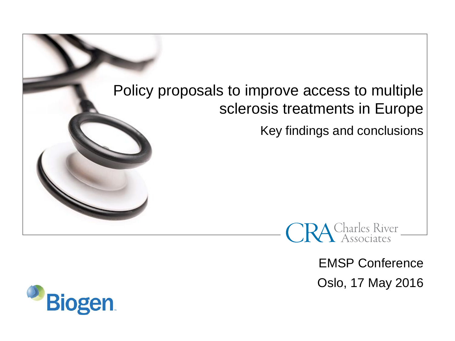# Policy proposals to improve access to multiple sclerosis treatments in Europe

Key findings and conclusions



EMSP Conference Oslo, 17 May 2016

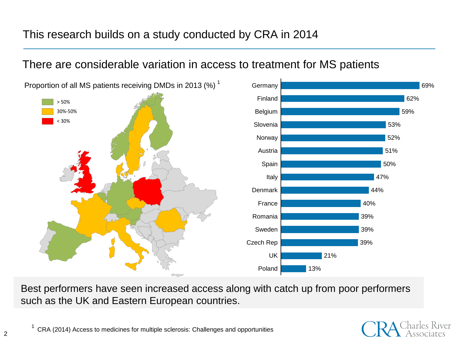## This research builds on a study conducted by CRA in 2014

## There are considerable variation in access to treatment for MS patients

Proportion of all MS patients receiving DMDs in 2013 (%)<sup>1</sup>



Best performers have seen increased access along with catch up from poor performers such as the UK and Eastern European countries.



Germany **69%** 

CRA (2014) Access to medicines for multiple sclerosis: Challenges and opportunities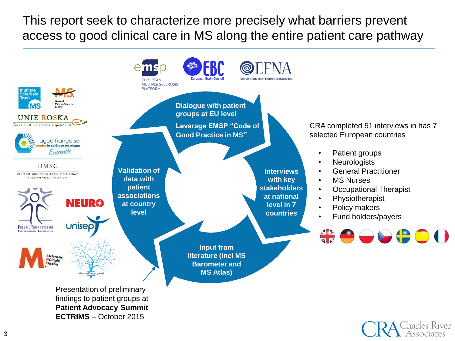This report seek to characterize more precisely what barriers prevent access to good clinical care in MS along the entire patient care pathway



ssociates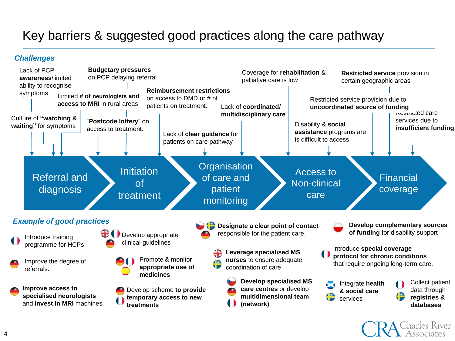# Key barriers & suggested good practices along the care pathway

#### *Challenges*

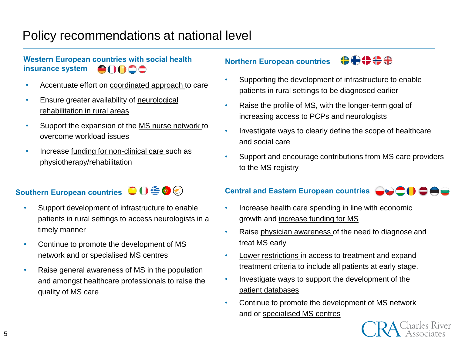# Policy recommendations at national level

#### **Western European countries with social health insurance system** 00000

- Accentuate effort on coordinated approach to care
- Ensure greater availability of neurological rehabilitation in rural areas
- Support the expansion of the MS nurse network to overcome workload issues
- Increase funding for non-clinical care such as physiotherapy/rehabilitation

### **Southern European countries OO毛O**

- Support development of infrastructure to enable patients in rural settings to access neurologists in a timely manner
- Continue to promote the development of MS network and or specialised MS centres
- Raise general awareness of MS in the population and amongst healthcare professionals to raise the quality of MS care

#### **OOOOO Northern European countries**

- Supporting the development of infrastructure to enable patients in rural settings to be diagnosed earlier
- Raise the profile of MS, with the longer-term goal of increasing access to PCPs and neurologists
- Investigate ways to clearly define the scope of healthcare and social care
- Support and encourage contributions from MS care providers to the MS registry

### **Central and Eastern European countries COOOO**

- Increase health care spending in line with economic growth and increase funding for MS
- Raise physician awareness of the need to diagnose and treat MS early
- Lower restrictions in access to treatment and expand treatment criteria to include all patients at early stage.
- Investigate ways to support the development of the patient databases
- Continue to promote the development of MS network and or specialised MS centres